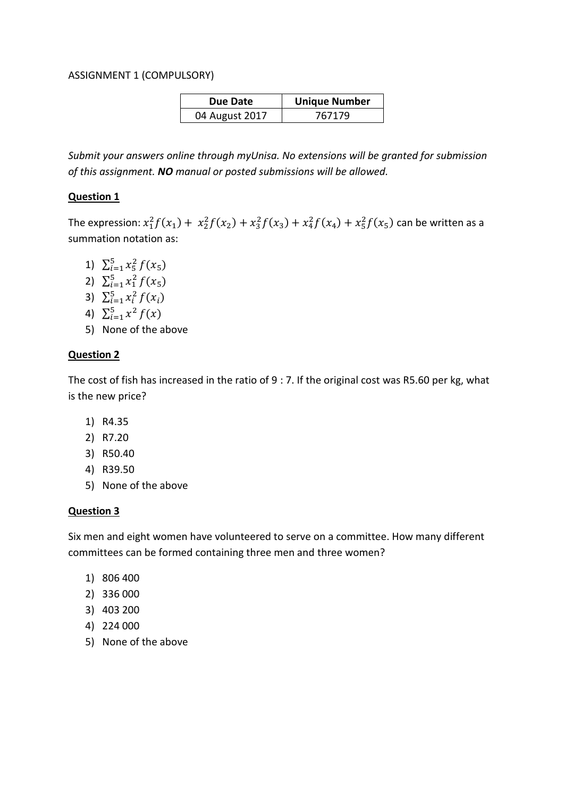#### ASSIGNMENT 1 (COMPULSORY)

| Due Date       | <b>Unique Number</b> |
|----------------|----------------------|
| 04 August 2017 | 767179               |

*Submit your answers online through myUnisa. No extensions will be granted for submission of this assignment. NO manual or posted submissions will be allowed.*

# **Question 1**

The expression:  $x_1^2 f(x_1) + x_2^2 f(x_2) + x_3^2 f(x_3) + x_4^2 f(x_4) + x_5^2 f(x_5)$  can be written as a summation notation as:

- 1)  $\sum_{i=1}^{5} x_5^2 f(x_5)$
- 2)  $\sum_{i=1}^{5} x_i^2 f(x_5)$
- 3)  $\sum_{i=1}^{5} x_i^2 f(x_i)$
- 4)  $\sum_{i=1}^{5} x^2 f(x)$
- 5) None of the above

## **Question 2**

The cost of fish has increased in the ratio of 9 : 7. If the original cost was R5.60 per kg, what is the new price?

- 1) R4.35
- 2) R7.20
- 3) R50.40
- 4) R39.50
- 5) None of the above

## **Question 3**

Six men and eight women have volunteered to serve on a committee. How many different committees can be formed containing three men and three women?

- 1) 806 400
- 2) 336 000
- 3) 403 200
- 4) 224 000
- 5) None of the above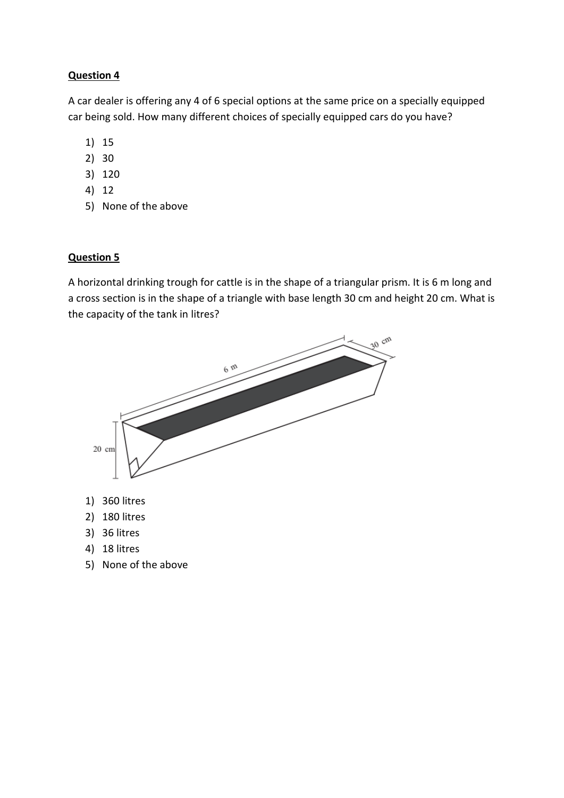A car dealer is offering any 4 of 6 special options at the same price on a specially equipped car being sold. How many different choices of specially equipped cars do you have?

- 1) 15
- 2) 30
- 3) 120
- 4) 12
- 5) None of the above

## **Question 5**

A horizontal drinking trough for cattle is in the shape of a triangular prism. It is 6 m long and a cross section is in the shape of a triangle with base length 30 cm and height 20 cm. What is the capacity of the tank in litres?



5) None of the above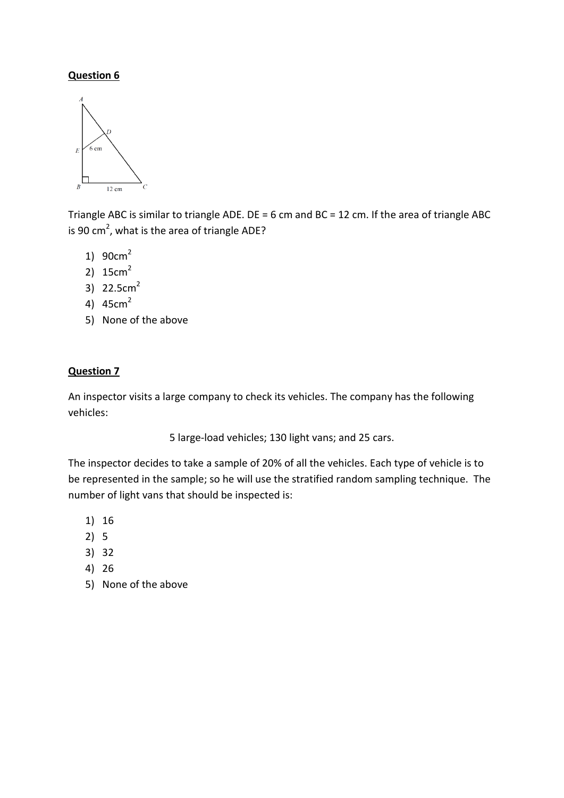

Triangle ABC is similar to triangle ADE. DE = 6 cm and BC = 12 cm. If the area of triangle ABC is 90 cm<sup>2</sup>, what is the area of triangle ADE?

- 1) 90cm<sup>2</sup>
- 2)  $15cm<sup>2</sup>$
- 3)  $22.5cm<sup>2</sup>$
- 4) 45cm<sup>2</sup>
- 5) None of the above

# **Question 7**

An inspector visits a large company to check its vehicles. The company has the following vehicles:

5 large-load vehicles; 130 light vans; and 25 cars.

The inspector decides to take a sample of 20% of all the vehicles. Each type of vehicle is to be represented in the sample; so he will use the stratified random sampling technique. The number of light vans that should be inspected is:

- 1) 16
- 2) 5
- 3) 32
- 4) 26
- 5) None of the above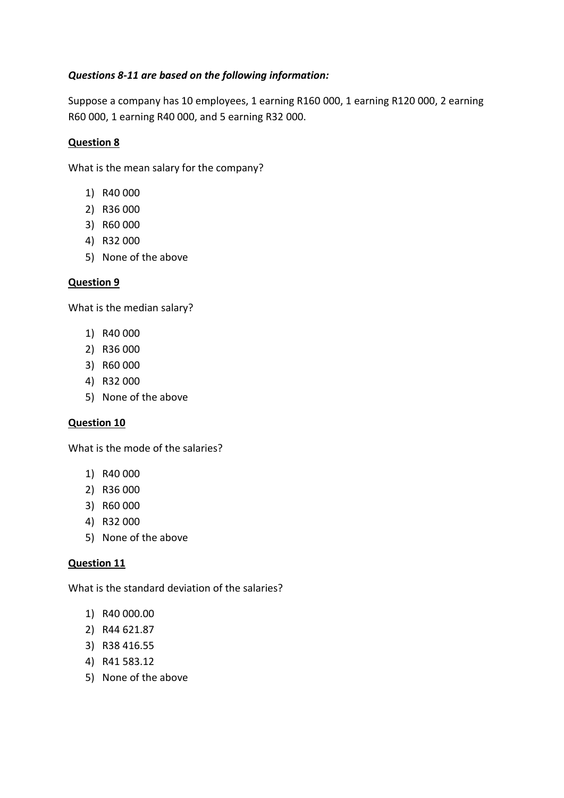# *Questions 8-11 are based on the following information:*

Suppose a company has 10 employees, 1 earning R160 000, 1 earning R120 000, 2 earning R60 000, 1 earning R40 000, and 5 earning R32 000.

# **Question 8**

What is the mean salary for the company?

- 1) R40 000
- 2) R36 000
- 3) R60 000
- 4) R32 000
- 5) None of the above

## **Question 9**

What is the median salary?

- 1) R40 000
- 2) R36 000
- 3) R60 000
- 4) R32 000
- 5) None of the above

## **Question 10**

What is the mode of the salaries?

- 1) R40 000
- 2) R36 000
- 3) R60 000
- 4) R32 000
- 5) None of the above

## **Question 11**

What is the standard deviation of the salaries?

- 1) R40 000.00
- 2) R44 621.87
- 3) R38 416.55
- 4) R41 583.12
- 5) None of the above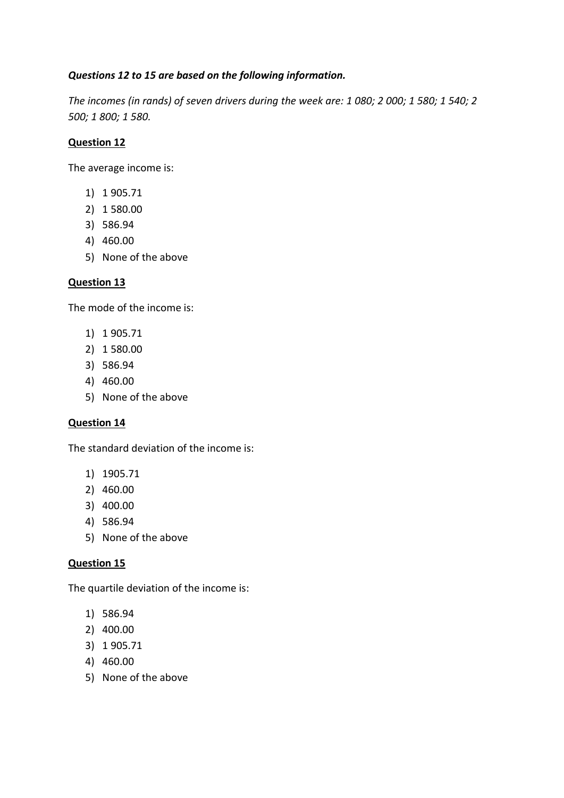# *Questions 12 to 15 are based on the following information.*

*The incomes (in rands) of seven drivers during the week are: 1 080; 2 000; 1 580; 1 540; 2 500; 1 800; 1 580.*

# **Question 12**

The average income is:

- 1) 1 905.71
- 2) 1 580.00
- 3) 586.94
- 4) 460.00
- 5) None of the above

## **Question 13**

The mode of the income is:

- 1) 1 905.71
- 2) 1 580.00
- 3) 586.94
- 4) 460.00
- 5) None of the above

## **Question 14**

The standard deviation of the income is:

- 1) 1905.71
- 2) 460.00
- 3) 400.00
- 4) 586.94
- 5) None of the above

## **Question 15**

The quartile deviation of the income is:

- 1) 586.94
- 2) 400.00
- 3) 1 905.71
- 4) 460.00
- 5) None of the above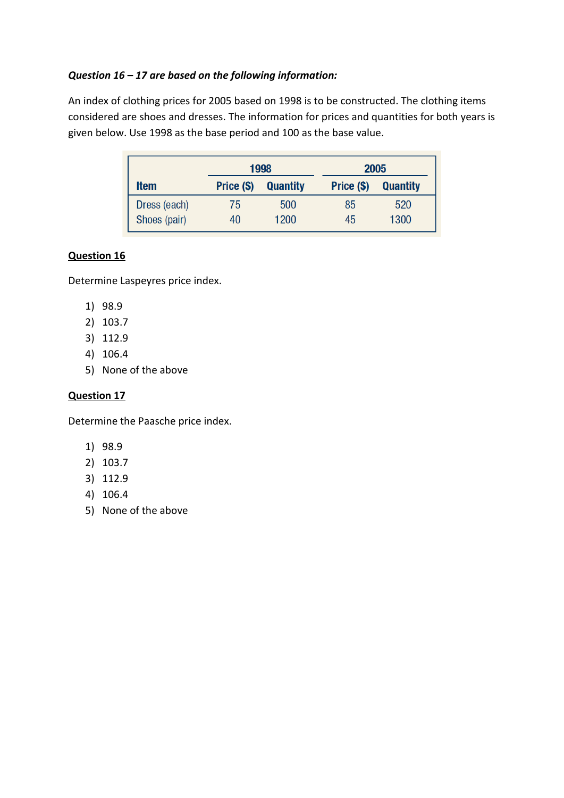# *Question 16 – 17 are based on the following information:*

An index of clothing prices for 2005 based on 1998 is to be constructed. The clothing items considered are shoes and dresses. The information for prices and quantities for both years is given below. Use 1998 as the base period and 100 as the base value.

|              | 1998       |                 | 2005       |                 |
|--------------|------------|-----------------|------------|-----------------|
| <b>Item</b>  | Price (\$) | <b>Quantity</b> | Price (\$) | <b>Quantity</b> |
| Dress (each) | 75         | 500             | 85         | 520             |
| Shoes (pair) | 40         | 1200            | 45         | 1300            |

# **Question 16**

Determine Laspeyres price index.

- 1) 98.9
- 2) 103.7
- 3) 112.9
- 4) 106.4
- 5) None of the above

## **Question 17**

Determine the Paasche price index.

- 1) 98.9
- 2) 103.7
- 3) 112.9
- 4) 106.4
- 5) None of the above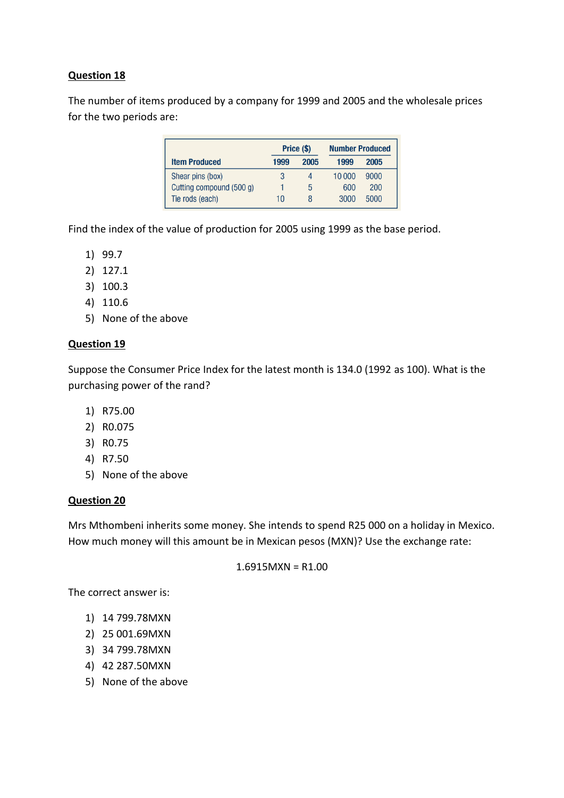The number of items produced by a company for 1999 and 2005 and the wholesale prices for the two periods are:

|                          | Price (\$) |      | <b>Number Produced</b> |      |
|--------------------------|------------|------|------------------------|------|
| <b>Item Produced</b>     | 1999       | 2005 | 1999                   | 2005 |
| Shear pins (box)         |            | Δ    | 10 000                 | 9000 |
| Cutting compound (500 g) |            | 5    | 600                    | 200  |
| Tie rods (each)          | 10         |      | 3000                   | 5000 |

Find the index of the value of production for 2005 using 1999 as the base period.

- 1) 99.7
- 2) 127.1
- 3) 100.3
- 4) 110.6
- 5) None of the above

## **Question 19**

Suppose the Consumer Price Index for the latest month is 134.0 (1992 as 100). What is the purchasing power of the rand?

- 1) R75.00
- 2) R0.075
- 3) R0.75
- 4) R7.50
- 5) None of the above

## **Question 20**

Mrs Mthombeni inherits some money. She intends to spend R25 000 on a holiday in Mexico. How much money will this amount be in Mexican pesos (MXN)? Use the exchange rate:

#### $1.6915$ MXN = R1.00

The correct answer is:

- 1) 14 799.78MXN
- 2) 25 001.69MXN
- 3) 34 799.78MXN
- 4) 42 287.50MXN
- 5) None of the above